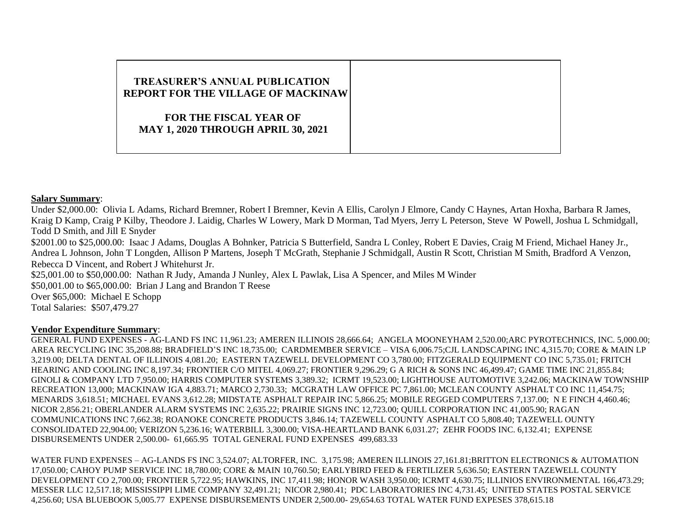# **TREASURER'S ANNUAL PUBLICATION REPORT FOR THE VILLAGE OF MACKINAW FOR THE FISCAL YEAR OF MAY 1, 2020 THROUGH APRIL 30, 2021**

### **Salary Summary**:

Under \$2,000.00: Olivia L Adams, Richard Bremner, Robert I Bremner, Kevin A Ellis, Carolyn J Elmore, Candy C Haynes, Artan Hoxha, Barbara R James, Kraig D Kamp, Craig P Kilby, Theodore J. Laidig, Charles W Lowery, Mark D Morman, Tad Myers, Jerry L Peterson, Steve W Powell, Joshua L Schmidgall, Todd D Smith, and Jill E Snyder \$2001.00 to \$25,000.00: Isaac J Adams, Douglas A Bohnker, Patricia S Butterfield, Sandra L Conley, Robert E Davies, Craig M Friend, Michael Haney Jr., Andrea L Johnson, John T Longden, Allison P Martens, Joseph T McGrath, Stephanie J Schmidgall, Austin R Scott, Christian M Smith, Bradford A Venzon, Rebecca D Vincent, and Robert J Whitehurst Jr. \$25,001.00 to \$50,000.00: Nathan R Judy, Amanda J Nunley, Alex L Pawlak, Lisa A Spencer, and Miles M Winder \$50,001.00 to \$65,000.00: Brian J Lang and Brandon T Reese Over \$65,000: Michael E Schopp Total Salaries: \$507,479.27

### **Vendor Expenditure Summary**:

GENERAL FUND EXPENSES - AG-LAND FS INC 11,961.23; AMEREN ILLINOIS 28,666.64; ANGELA MOONEYHAM 2,520.00;ARC PYROTECHNICS, INC. 5,000.00; AREA RECYCLING INC 35,208.88; BRADFIELD'S INC 18,735.00; CARDMEMBER SERVICE – VISA 6,006.75;CJL LANDSCAPING INC 4,315.70; CORE & MAIN LP 3,219.00; DELTA DENTAL OF ILLINOIS 4,081.20; EASTERN TAZEWELL DEVELOPMENT CO 3,780.00; FITZGERALD EQUIPMENT CO INC 5,735.01; FRITCH HEARING AND COOLING INC 8,197.34; FRONTIER C/O MITEL 4,069.27; FRONTIER 9,296.29; G A RICH & SONS INC 46,499.47; GAME TIME INC 21,855.84; GINOLI & COMPANY LTD 7,950.00; HARRIS COMPUTER SYSTEMS 3,389.32; ICRMT 19,523.00; LIGHTHOUSE AUTOMOTIVE 3,242.06; MACKINAW TOWNSHIP RECREATION 13,000; MACKINAW IGA 4,883.71; MARCO 2,730.33; MCGRATH LAW OFFICE PC 7,861.00; MCLEAN COUNTY ASPHALT CO INC 11,454.75; MENARDS 3,618.51; MICHAEL EVANS 3,612.28; MIDSTATE ASPHALT REPAIR INC 5,866.25; MOBILE REGGED COMPUTERS 7,137.00; N E FINCH 4,460.46; NICOR 2,856.21; OBERLANDER ALARM SYSTEMS INC 2,635.22; PRAIRIE SIGNS INC 12,723.00; QUILL CORPORATION INC 41,005.90; RAGAN COMMUNICATIONS INC 7,662.38; ROANOKE CONCRETE PRODUCTS 3,846.14; TAZEWELL COUNTY ASPHALT CO 5,808.40; TAZEWELL OUNTY CONSOLIDATED 22,904.00; VERIZON 5,236.16; WATERBILL 3,300.00; VISA-HEARTLAND BANK 6,031.27; ZEHR FOODS INC. 6,132.41; EXPENSE DISBURSEMENTS UNDER 2,500.00- 61,665.95 TOTAL GENERAL FUND EXPENSES 499,683.33

WATER FUND EXPENSES – AG-LANDS FS INC 3,524.07; ALTORFER, INC. 3,175.98; AMEREN ILLINOIS 27,161.81;BRITTON ELECTRONICS & AUTOMATION 17,050.00; CAHOY PUMP SERVICE INC 18,780.00; CORE & MAIN 10,760.50; EARLYBIRD FEED & FERTILIZER 5,636.50; EASTERN TAZEWELL COUNTY DEVELOPMENT CO 2,700.00; FRONTIER 5,722.95; HAWKINS, INC 17,411.98; HONOR WASH 3,950.00; ICRMT 4,630.75; ILLINIOS ENVIRONMENTAL 166,473.29; MESSER LLC 12,517.18; MISSISSIPPI LIME COMPANY 32,491.21; NICOR 2,980.41; PDC LABORATORIES INC 4,731.45; UNITED STATES POSTAL SERVICE 4,256.60; USA BLUEBOOK 5,005.77 EXPENSE DISBURSEMENTS UNDER 2,500.00- 29,654.63 TOTAL WATER FUND EXPESES 378,615.18